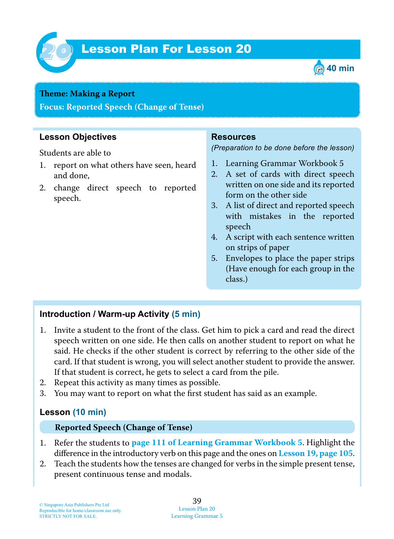

# Lesson Plan For Lesson 20 *20*



#### **Teme : Making a Report**

**Focus: Reported Speech (Change of Tense)**

### **Lesson Objectives**

Students are able to

- 1. report on what others have seen, heard and done,
- 2. change direct speech to reported speech.

#### **Resources**

*(Preparation to be done before the lesson)*

- 1. Learning Grammar Workbook 5
- 2. A set of cards with direct speech written on one side and its reported form on the other side
- 3. A list of direct and reported speech with mistakes in the reported speech
- 4. A script with each sentence written on strips of paper
- 5. Envelopes to place the paper strips (Have enough for each group in the class.)

#### **Introduction / Warm-up Activity (5 min)**

- 1. Invite a student to the front of the class. Get him to pick a card and read the direct speech written on one side. He then calls on another student to report on what he said. He checks if the other student is correct by referring to the other side of the card. If that student is wrong, you will select another student to provide the answer. If that student is correct, he gets to select a card from the pile.
- 2. Repeat this activity as many times as possible.
- 3. You may want to report on what the first student has said as an example.

#### **Lesson (10 min)**

#### **Reported Speech (Change of Tense)**

- 1 . Refer the students to **page 111 of Learning Grammar Workbook 5**. Highlight the difference in the introductory verb on this page and the ones on **Lesson 19, page 105**.
- 2. Teach the students how the tenses are changed for verbs in the simple present tense, present continuous tense and modals.